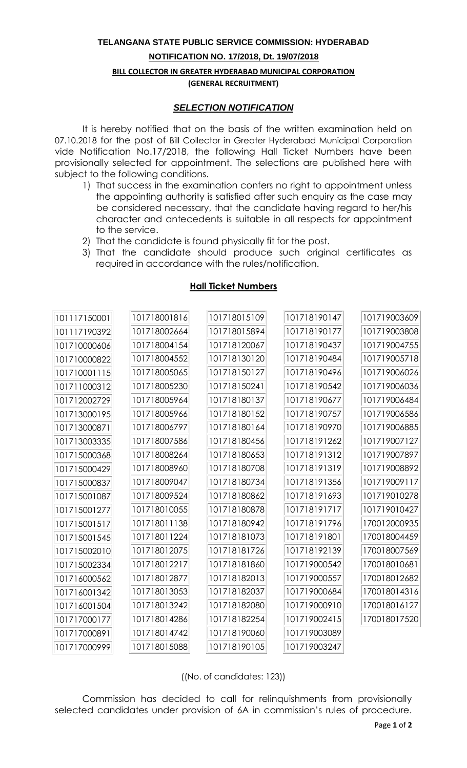#### **TELANGANA STATE PUBLIC SERVICE COMMISSION: HYDERABAD**

### **NOTIFICATION NO. 17/2018, Dt. 19/07/2018**

## **BILL COLLECTOR IN GREATER HYDERABAD MUNICIPAL CORPORATION (GENERAL RECRUITMENT)**

# *SELECTION NOTIFICATION*

It is hereby notified that on the basis of the written examination held on 07.10.2018 for the post of Bill Collector in Greater Hyderabad Municipal Corporation vide Notification No.17/2018, the following Hall Ticket Numbers have been provisionally selected for appointment. The selections are published here with subject to the following conditions.

- 1) That success in the examination confers no right to appointment unless the appointing authority is satisfied after such enquiry as the case may be considered necessary, that the candidate having regard to her/his character and antecedents is suitable in all respects for appointment to the service.
- 2) That the candidate is found physically fit for the post.
- 3) That the candidate should produce such original certificates as required in accordance with the rules/notification.

| 101117150001 | 101718001816 | 101718015109 | 101718190147 | 101719003609 |
|--------------|--------------|--------------|--------------|--------------|
| 101117190392 | 101718002664 | 101718015894 | 101718190177 | 101719003808 |
| 101710000606 | 101718004154 | 101718120067 | 101718190437 | 101719004755 |
| 101710000822 | 101718004552 | 101718130120 | 101718190484 | 101719005718 |
| 101710001115 | 101718005065 | 101718150127 | 101718190496 | 101719006026 |
| 101711000312 | 101718005230 | 101718150241 | 101718190542 | 101719006036 |
| 101712002729 | 101718005964 | 101718180137 | 101718190677 | 101719006484 |
| 101713000195 | 101718005966 | 101718180152 | 101718190757 | 101719006586 |
| 101713000871 | 101718006797 | 101718180164 | 101718190970 | 101719006885 |
| 101713003335 | 101718007586 | 101718180456 | 101718191262 | 101719007127 |
| 101715000368 | 101718008264 | 101718180653 | 101718191312 | 101719007897 |
| 101715000429 | 101718008960 | 101718180708 | 101718191319 | 101719008892 |
| 101715000837 | 101718009047 | 101718180734 | 101718191356 | 101719009117 |
| 101715001087 | 101718009524 | 101718180862 | 101718191693 | 101719010278 |
| 101715001277 | 101718010055 | 101718180878 | 101718191717 | 101719010427 |
| 101715001517 | 101718011138 | 101718180942 | 101718191796 | 170012000935 |
| 101715001545 | 101718011224 | 101718181073 | 101718191801 | 170018004459 |
| 101715002010 | 101718012075 | 101718181726 | 101718192139 | 170018007569 |
| 101715002334 | 101718012217 | 101718181860 | 101719000542 | 170018010681 |
| 101716000562 | 101718012877 | 101718182013 | 101719000557 | 170018012682 |
| 101716001342 | 101718013053 | 101718182037 | 101719000684 | 170018014316 |
| 101716001504 | 101718013242 | 101718182080 | 101719000910 | 170018016127 |
| 101717000177 | 101718014286 | 101718182254 | 101719002415 | 170018017520 |
| 101717000891 | 101718014742 | 101718190060 | 101719003089 |              |
| 101717000999 | 101718015088 | 101718190105 | 101719003247 |              |

## **Hall Ticket Numbers**

((No. of candidates: 123))

Commission has decided to call for relinquishments from provisionally selected candidates under provision of 6A in commission's rules of procedure.